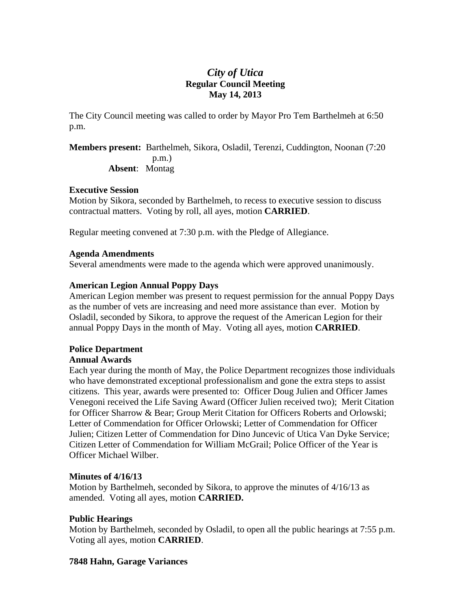# *City of Utica*  **Regular Council Meeting May 14, 2013**

The City Council meeting was called to order by Mayor Pro Tem Barthelmeh at 6:50 p.m.

**Members present:** Barthelmeh, Sikora, Osladil, Terenzi, Cuddington, Noonan (7:20 p.m.) **Absent**: Montag

#### **Executive Session**

Motion by Sikora, seconded by Barthelmeh, to recess to executive session to discuss contractual matters. Voting by roll, all ayes, motion **CARRIED**.

Regular meeting convened at 7:30 p.m. with the Pledge of Allegiance.

### **Agenda Amendments**

Several amendments were made to the agenda which were approved unanimously.

### **American Legion Annual Poppy Days**

American Legion member was present to request permission for the annual Poppy Days as the number of vets are increasing and need more assistance than ever. Motion by Osladil, seconded by Sikora, to approve the request of the American Legion for their annual Poppy Days in the month of May. Voting all ayes, motion **CARRIED**.

# **Police Department**

# **Annual Awards**

Each year during the month of May, the Police Department recognizes those individuals who have demonstrated exceptional professionalism and gone the extra steps to assist citizens. This year, awards were presented to: Officer Doug Julien and Officer James Venegoni received the Life Saving Award (Officer Julien received two); Merit Citation for Officer Sharrow & Bear; Group Merit Citation for Officers Roberts and Orlowski; Letter of Commendation for Officer Orlowski; Letter of Commendation for Officer Julien; Citizen Letter of Commendation for Dino Juncevic of Utica Van Dyke Service; Citizen Letter of Commendation for William McGrail; Police Officer of the Year is Officer Michael Wilber.

#### **Minutes of 4/16/13**

Motion by Barthelmeh, seconded by Sikora, to approve the minutes of 4/16/13 as amended. Voting all ayes, motion **CARRIED.** 

# **Public Hearings**

Motion by Barthelmeh, seconded by Osladil, to open all the public hearings at 7:55 p.m. Voting all ayes, motion **CARRIED**.

#### **7848 Hahn, Garage Variances**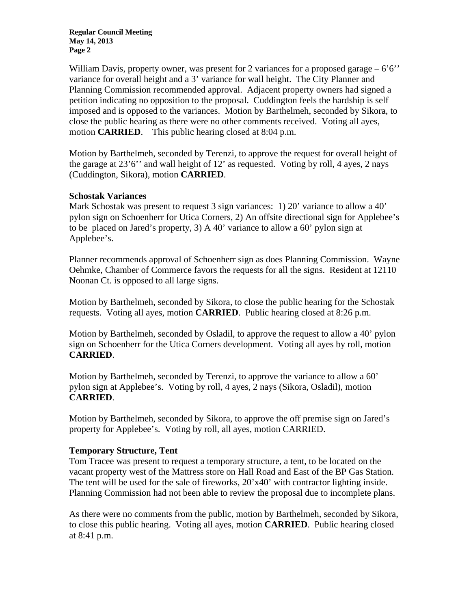William Davis, property owner, was present for 2 variances for a proposed garage  $-6'6'$ variance for overall height and a 3' variance for wall height. The City Planner and Planning Commission recommended approval. Adjacent property owners had signed a petition indicating no opposition to the proposal. Cuddington feels the hardship is self imposed and is opposed to the variances. Motion by Barthelmeh, seconded by Sikora, to close the public hearing as there were no other comments received. Voting all ayes, motion **CARRIED**. This public hearing closed at 8:04 p.m.

Motion by Barthelmeh, seconded by Terenzi, to approve the request for overall height of the garage at 23'6'' and wall height of 12' as requested. Voting by roll, 4 ayes, 2 nays (Cuddington, Sikora), motion **CARRIED**.

#### **Schostak Variances**

Mark Schostak was present to request 3 sign variances: 1) 20' variance to allow a 40' pylon sign on Schoenherr for Utica Corners, 2) An offsite directional sign for Applebee's to be placed on Jared's property, 3) A 40' variance to allow a 60' pylon sign at Applebee's.

Planner recommends approval of Schoenherr sign as does Planning Commission. Wayne Oehmke, Chamber of Commerce favors the requests for all the signs. Resident at 12110 Noonan Ct. is opposed to all large signs.

Motion by Barthelmeh, seconded by Sikora, to close the public hearing for the Schostak requests. Voting all ayes, motion **CARRIED**. Public hearing closed at 8:26 p.m.

Motion by Barthelmeh, seconded by Osladil, to approve the request to allow a 40' pylon sign on Schoenherr for the Utica Corners development. Voting all ayes by roll, motion **CARRIED**.

Motion by Barthelmeh, seconded by Terenzi, to approve the variance to allow a 60' pylon sign at Applebee's. Voting by roll, 4 ayes, 2 nays (Sikora, Osladil), motion **CARRIED**.

Motion by Barthelmeh, seconded by Sikora, to approve the off premise sign on Jared's property for Applebee's. Voting by roll, all ayes, motion CARRIED.

# **Temporary Structure, Tent**

Tom Tracee was present to request a temporary structure, a tent, to be located on the vacant property west of the Mattress store on Hall Road and East of the BP Gas Station. The tent will be used for the sale of fireworks, 20'x40' with contractor lighting inside. Planning Commission had not been able to review the proposal due to incomplete plans.

As there were no comments from the public, motion by Barthelmeh, seconded by Sikora, to close this public hearing. Voting all ayes, motion **CARRIED**. Public hearing closed at 8:41 p.m.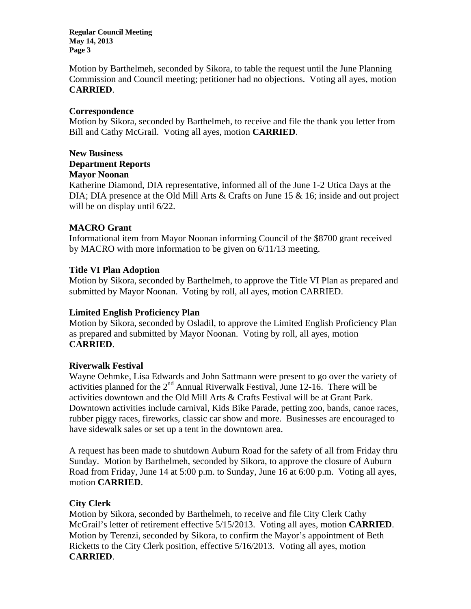Motion by Barthelmeh, seconded by Sikora, to table the request until the June Planning Commission and Council meeting; petitioner had no objections. Voting all ayes, motion **CARRIED**.

### **Correspondence**

Motion by Sikora, seconded by Barthelmeh, to receive and file the thank you letter from Bill and Cathy McGrail. Voting all ayes, motion **CARRIED**.

#### **New Business**

# **Department Reports**

### **Mayor Noonan**

Katherine Diamond, DIA representative, informed all of the June 1-2 Utica Days at the DIA; DIA presence at the Old Mill Arts & Crafts on June 15 & 16; inside and out project will be on display until  $6/22$ .

### **MACRO Grant**

Informational item from Mayor Noonan informing Council of the \$8700 grant received by MACRO with more information to be given on 6/11/13 meeting.

### **Title VI Plan Adoption**

Motion by Sikora, seconded by Barthelmeh, to approve the Title VI Plan as prepared and submitted by Mayor Noonan. Voting by roll, all ayes, motion CARRIED.

# **Limited English Proficiency Plan**

Motion by Sikora, seconded by Osladil, to approve the Limited English Proficiency Plan as prepared and submitted by Mayor Noonan. Voting by roll, all ayes, motion **CARRIED**.

#### **Riverwalk Festival**

Wayne Oehmke, Lisa Edwards and John Sattmann were present to go over the variety of activities planned for the  $2<sup>nd</sup>$  Annual Riverwalk Festival, June 12-16. There will be activities downtown and the Old Mill Arts & Crafts Festival will be at Grant Park. Downtown activities include carnival, Kids Bike Parade, petting zoo, bands, canoe races, rubber piggy races, fireworks, classic car show and more. Businesses are encouraged to have sidewalk sales or set up a tent in the downtown area.

A request has been made to shutdown Auburn Road for the safety of all from Friday thru Sunday. Motion by Barthelmeh, seconded by Sikora, to approve the closure of Auburn Road from Friday, June 14 at 5:00 p.m. to Sunday, June 16 at 6:00 p.m. Voting all ayes, motion **CARRIED**.

# **City Clerk**

Motion by Sikora, seconded by Barthelmeh, to receive and file City Clerk Cathy McGrail's letter of retirement effective 5/15/2013. Voting all ayes, motion **CARRIED**. Motion by Terenzi, seconded by Sikora, to confirm the Mayor's appointment of Beth Ricketts to the City Clerk position, effective 5/16/2013. Voting all ayes, motion **CARRIED**.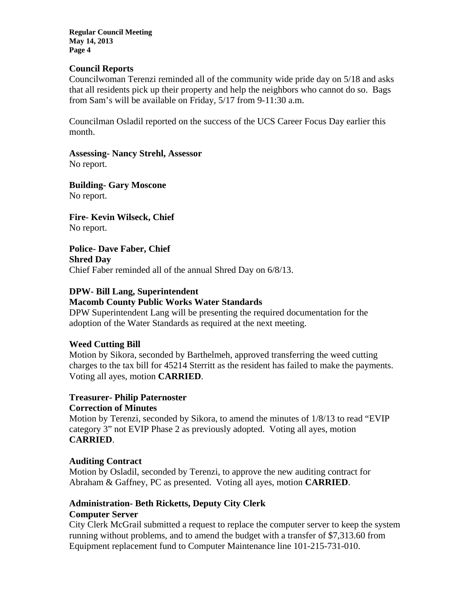#### **Council Reports**

Councilwoman Terenzi reminded all of the community wide pride day on 5/18 and asks that all residents pick up their property and help the neighbors who cannot do so. Bags from Sam's will be available on Friday, 5/17 from 9-11:30 a.m.

Councilman Osladil reported on the success of the UCS Career Focus Day earlier this month.

**Assessing- Nancy Strehl, Assessor**  No report.

**Building- Gary Moscone**  No report.

**Fire- Kevin Wilseck, Chief**  No report.

**Police- Dave Faber, Chief Shred Day**  Chief Faber reminded all of the annual Shred Day on 6/8/13.

# **DPW- Bill Lang, Superintendent**

### **Macomb County Public Works Water Standards**

DPW Superintendent Lang will be presenting the required documentation for the adoption of the Water Standards as required at the next meeting.

# **Weed Cutting Bill**

Motion by Sikora, seconded by Barthelmeh, approved transferring the weed cutting charges to the tax bill for 45214 Sterritt as the resident has failed to make the payments. Voting all ayes, motion **CARRIED**.

#### **Treasurer- Philip Paternoster Correction of Minutes**

Motion by Terenzi, seconded by Sikora, to amend the minutes of 1/8/13 to read "EVIP category 3" not EVIP Phase 2 as previously adopted. Voting all ayes, motion **CARRIED**.

# **Auditing Contract**

Motion by Osladil, seconded by Terenzi, to approve the new auditing contract for Abraham & Gaffney, PC as presented. Voting all ayes, motion **CARRIED**.

# **Administration- Beth Ricketts, Deputy City Clerk Computer Server**

City Clerk McGrail submitted a request to replace the computer server to keep the system running without problems, and to amend the budget with a transfer of \$7,313.60 from Equipment replacement fund to Computer Maintenance line 101-215-731-010.